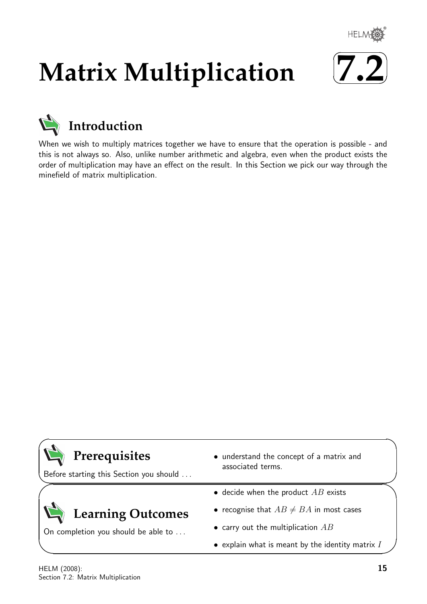

# **Matrix Multiplication**





When we wish to multiply matrices together we have to ensure that the operation is possible - and this is not always so. Also, unlike number arithmetic and algebra, even when the product exists the order of multiplication may have an effect on the result. In this Section we pick our way through the minefield of matrix multiplication.

| Prerequisites<br>Before starting this Section you should | • understand the concept of a matrix and<br>associated terms. |
|----------------------------------------------------------|---------------------------------------------------------------|
| Learning Outcomes<br>On completion you should be able to | • decide when the product $AB$ exists                         |
|                                                          | • recognise that $AB \neq BA$ in most cases                   |
|                                                          | • carry out the multiplication $AB$                           |
|                                                          | $\bullet$ explain what is meant by the identity matrix $I$    |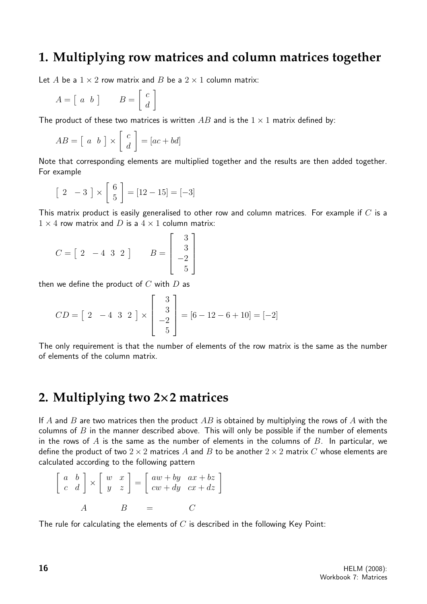### **1. Multiplying row matrices and column matrices together**

Let A be a  $1 \times 2$  row matrix and B be a  $2 \times 1$  column matrix:

$$
A = \left[ \begin{array}{cc} a & b \end{array} \right] \qquad B = \left[ \begin{array}{c} c \\ d \end{array} \right]
$$

The product of these two matrices is written AB and is the  $1 \times 1$  matrix defined by:

$$
AB = \begin{bmatrix} a & b \end{bmatrix} \times \begin{bmatrix} c \\ d \end{bmatrix} = [ac + bd]
$$

Note that corresponding elements are multiplied together and the results are then added together. For example

$$
\begin{bmatrix} 2 & -3 \end{bmatrix} \times \begin{bmatrix} 6 \\ 5 \end{bmatrix} = [12 - 15] = [-3]
$$

This matrix product is easily generalised to other row and column matrices. For example if  $C$  is a  $1 \times 4$  row matrix and D is a  $4 \times 1$  column matrix:

$$
C = \begin{bmatrix} 2 & -4 & 3 & 2 \end{bmatrix} \qquad B = \begin{bmatrix} 3 \\ 3 \\ -2 \\ 5 \end{bmatrix}
$$

then we define the product of  $C$  with  $D$  as

$$
CD = \begin{bmatrix} 2 & -4 & 3 & 2 \end{bmatrix} \times \begin{bmatrix} 3 \\ 3 \\ -2 \\ 5 \end{bmatrix} = [6 - 12 - 6 + 10] = [-2]
$$

The only requirement is that the number of elements of the row matrix is the same as the number of elements of the column matrix.

### **2. Multiplying two 2**×**2 matrices**

If A and B are two matrices then the product  $AB$  is obtained by multiplying the rows of A with the columns of  $B$  in the manner described above. This will only be possible if the number of elements in the rows of A is the same as the number of elements in the columns of B. In particular, we define the product of two  $2 \times 2$  matrices A and B to be another  $2 \times 2$  matrix C whose elements are calculated according to the following pattern

$$
\begin{bmatrix} a & b \\ c & d \end{bmatrix} \times \begin{bmatrix} w & x \\ y & z \end{bmatrix} = \begin{bmatrix} aw + by & ax + bz \\ cw + dy & cx + dz \end{bmatrix}
$$
  

$$
A \qquad B = C
$$

The rule for calculating the elements of  $C$  is described in the following Key Point: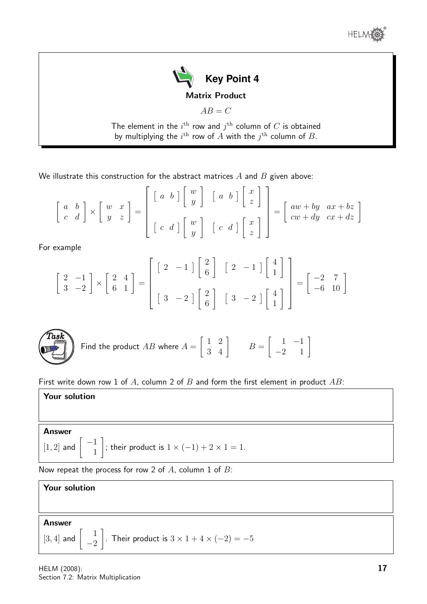



 $AB = C$ 

The element in the  $i^{\rm th}$  row and  $j^{\rm th}$  column of  $C$  is obtained by multiplying the  $i^{\text{th}}$  row of  $A$  with the  $j^{\text{th}}$  column of  $B$ .

 $\overline{a}$ 

We illustrate this construction for the abstract matrices  $A$  and  $B$  given above:

$$
\begin{bmatrix} a & b \\ c & d \end{bmatrix} \times \begin{bmatrix} w & x \\ y & z \end{bmatrix} = \begin{bmatrix} \begin{bmatrix} a & b \end{bmatrix} \begin{bmatrix} w \\ y \end{bmatrix} & \begin{bmatrix} a & b \end{bmatrix} \begin{bmatrix} x \\ z \end{bmatrix} \\ \begin{bmatrix} c & d \end{bmatrix} \begin{bmatrix} w \\ y \end{bmatrix} & \begin{bmatrix} c & d \end{bmatrix} \begin{bmatrix} x \\ z \end{bmatrix} \end{bmatrix} = \begin{bmatrix} aw + by & ax + bz \\ cw + dy & cx + dz \end{bmatrix}
$$

For example

$$
\begin{bmatrix} 2 & -1 \\ 3 & -2 \end{bmatrix} \times \begin{bmatrix} 2 & 4 \\ 6 & 1 \end{bmatrix} = \begin{bmatrix} 2 & -1 \\ 3 & -2 \end{bmatrix} \begin{bmatrix} 2 \\ 6 \end{bmatrix} \begin{bmatrix} 2 & -1 \end{bmatrix} \begin{bmatrix} 4 \\ 1 \end{bmatrix} = \begin{bmatrix} -2 & 7 \\ -6 & 10 \end{bmatrix}
$$



Find the product 
$$
AB
$$
 where  $A = \begin{bmatrix} 1 & 2 \\ 3 & 4 \end{bmatrix}$   $B = \begin{bmatrix} 1 & -1 \\ -2 & 1 \end{bmatrix}$ 

First write down row 1 of A, column 2 of B and form the first element in product  $AB$ :

Your solution

#### Answer

[1,2] and 
$$
\begin{bmatrix} -1 \\ 1 \end{bmatrix}
$$
; their product is  $1 \times (-1) + 2 \times 1 = 1$ .

Now repeat the process for row 2 of  $A$ , column 1 of  $B$ :

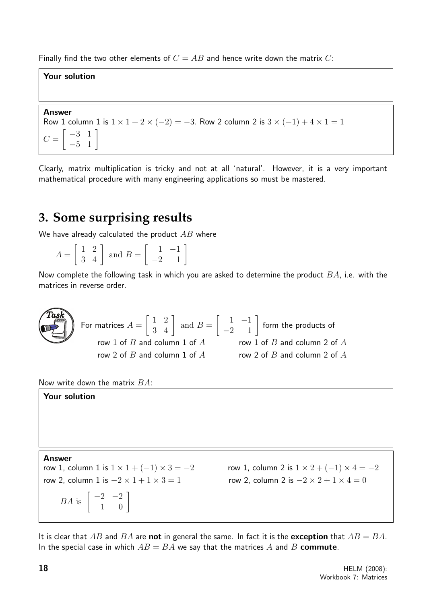Finally find the two other elements of  $C = AB$  and hence write down the matrix C:

### Your solution

#### Answer

Row 1 column 1 is  $1 \times 1 + 2 \times (-2) = -3$ . Row 2 column 2 is  $3 \times (-1) + 4 \times 1 = 1$  $C =$  $\begin{bmatrix} -3 & 1 \\ -5 & 1 \end{bmatrix}$ 

Clearly, matrix multiplication is tricky and not at all 'natural'. However, it is a very important mathematical procedure with many engineering applications so must be mastered.

# **3. Some surprising results**

We have already calculated the product  $AB$  where

| and the state of the<br>$\boldsymbol{\Lambda}$ | and $B =$ |  |
|------------------------------------------------|-----------|--|
|------------------------------------------------|-----------|--|

Now complete the following task in which you are asked to determine the product  $BA$ , i.e. with the matrices in reverse order.

**Task**  
\nFor matrices 
$$
A = \begin{bmatrix} 1 & 2 \\ 3 & 4 \end{bmatrix}
$$
 and  $B = \begin{bmatrix} 1 & -1 \\ -2 & 1 \end{bmatrix}$  form the products of row 1 of *B* and column 2 of *A* row 2 of *B* and column 1 of *A* row 2 of *B* and column 2 of *A* row 2 of *B* and column 2 of *A* row 2 of *B* and column 2 of *A*

Now write down the matrix  $BA$ :

Your solution

Answer

 $BA$  is  $\begin{bmatrix} -2 & -2 \\ 1 & 0 \end{bmatrix}$ 

row 1, column 1 is  $1 \times 1 + (-1) \times 3 = -2$  row 1, column 2 is  $1 \times 2 + (-1) \times 4 = -2$ row 2, column 1 is  $-2 \times 1 + 1 \times 3 = 1$  row 2, column 2 is  $-2 \times 2 + 1 \times 4 = 0$ 

It is clear that AB and BA are not in general the same. In fact it is the exception that  $AB = BA$ . In the special case in which  $AB = BA$  we say that the matrices A and B commute.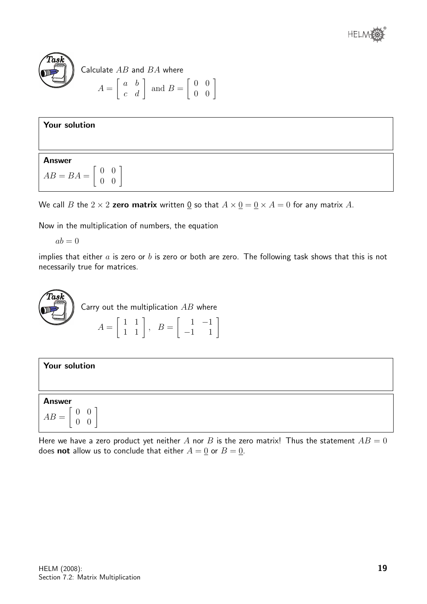



### Calculate  $AB$  and  $BA$  where

$$
A = \left[ \begin{array}{cc} a & b \\ c & d \end{array} \right] \text{ and } B = \left[ \begin{array}{cc} 0 & 0 \\ 0 & 0 \end{array} \right]
$$

|  | <b>Your solution</b> |
|--|----------------------|
|--|----------------------|

Answer  $AB = BA =$  $\left[\begin{array}{cc} 0 & 0 \\ 0 & 0 \end{array}\right]$ 

We call B the  $2 \times 2$  zero matrix written 0 so that  $A \times 0 = 0 \times A = 0$  for any matrix A.

Now in the multiplication of numbers, the equation

 $ab = 0$ 

implies that either  $a$  is zero or  $b$  is zero or both are zero. The following task shows that this is not necessarily true for matrices.



| Your solution                                                              |  |
|----------------------------------------------------------------------------|--|
|                                                                            |  |
| <b>Answer</b>                                                              |  |
| $\overline{0}$<br>$\theta$<br>$AB =$<br>$\boldsymbol{0}$<br>$\overline{0}$ |  |

Here we have a zero product yet neither A nor B is the zero matrix! Thus the statement  $AB = 0$ does **not** allow us to conclude that either  $A = 0$  or  $B = 0$ .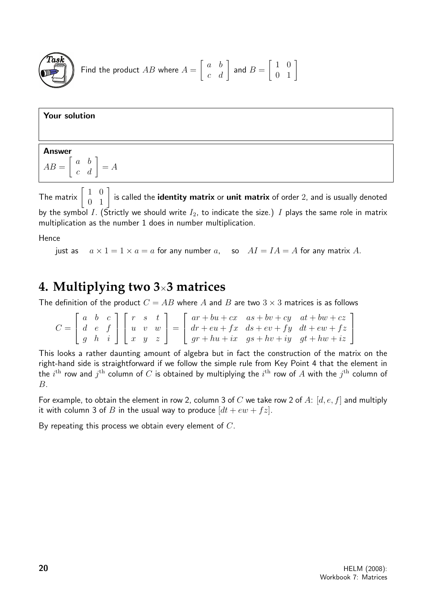

Find the product 
$$
AB
$$
 where  $A = \begin{bmatrix} a & b \\ c & d \end{bmatrix}$  and  $B = \begin{bmatrix} 1 & 0 \\ 0 & 1 \end{bmatrix}$ 

Your solution

### Answer  $AB =$  $\left[\begin{array}{cc} a & b \\ c & d \end{array}\right] = A$

The matrix  $\left[\begin{array}{cc} 1 & 0 \ 0 & 1 \end{array}\right]$  is called the **identity matrix** or **unit matrix** of order 2, and is usually denoted by the symbol I. (Strictly we should write  $I_2$ , to indicate the size.) I plays the same role in matrix multiplication as the number 1 does in number multiplication.

Hence

just as  $a \times 1 = 1 \times a = a$  for any number a, so  $AI = IA = A$  for any matrix A.

## **4. Multiplying two 3**×**3 matrices**

The definition of the product  $C = AB$  where A and B are two  $3 \times 3$  matrices is as follows

 $C =$  $\sqrt{ }$  $\overline{1}$ a b c d e f g h i 1  $\overline{1}$  $\sqrt{ }$  $\overline{1}$  $r \quad s \quad t$  $u \quad v \quad w$  $x \quad y \quad z$ 1  $\Big| =$  $\sqrt{ }$  $\overline{\phantom{a}}$  $ar + bu + cx$  as  $+ bv + cy$  at  $+ bw + cz$  $dr + eu + fx$   $ds + ev + fy$   $dt + ew + fz$  $gr + hu + ix$  gs +  $hv + iy$  gt +  $hw + iz$ 1  $\overline{1}$ 

This looks a rather daunting amount of algebra but in fact the construction of the matrix on the right-hand side is straightforward if we follow the simple rule from Key Point 4 that the element in the  $i^{\rm th}$  row and  $j^{\rm th}$  column of  $C$  is obtained by multiplying the  $i^{\rm th}$  row of  $A$  with the  $j^{\rm th}$  column of B.

For example, to obtain the element in row 2, column 3 of C we take row 2 of A:  $[d, e, f]$  and multiply it with column 3 of B in the usual way to produce  $(dt + ew + fz)$ .

By repeating this process we obtain every element of C.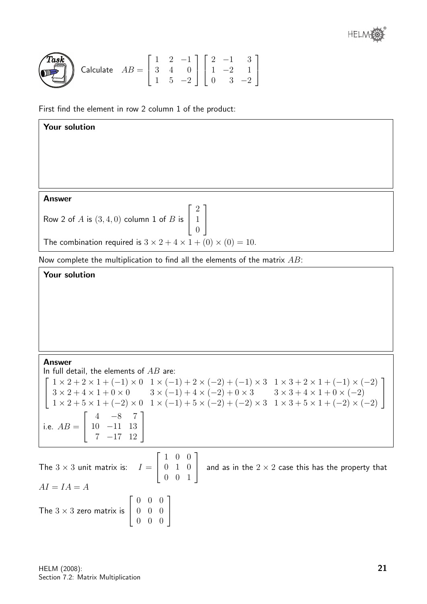**Task**

\nCalculate 
$$
AB = \begin{bmatrix} 1 & 2 & -1 \\ 3 & 4 & 0 \\ 1 & 5 & -2 \end{bmatrix} \begin{bmatrix} 2 & -1 & 3 \\ 1 & -2 & 1 \\ 0 & 3 & -2 \end{bmatrix}
$$

First find the element in row 2 column 1 of the product:

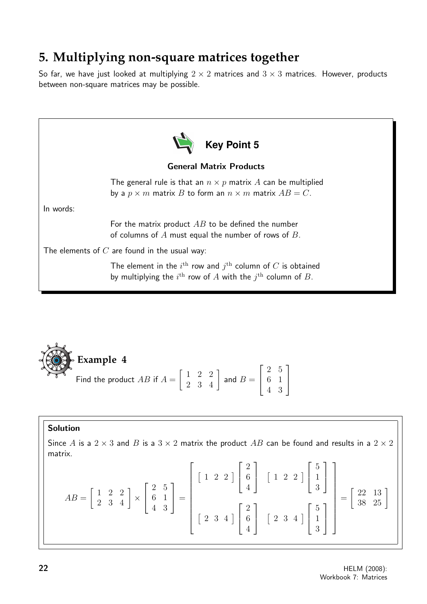# **5. Multiplying non-square matrices together**

So far, we have just looked at multiplying  $2 \times 2$  matrices and  $3 \times 3$  matrices. However, products between non-square matrices may be possible.



**Example 4**  
Find the product 
$$
AB
$$
 if  $A = \begin{bmatrix} 1 & 2 & 2 \\ 2 & 3 & 4 \end{bmatrix}$  and  $B = \begin{bmatrix} 2 & 5 \\ 6 & 1 \\ 4 & 3 \end{bmatrix}$ 

### Solution

 $\alpha$ 

Since A is a  $2 \times 3$  and B is a  $3 \times 2$  matrix the product AB can be found and results in a  $2 \times 2$ matrix.

$$
AB = \begin{bmatrix} 1 & 2 & 2 \\ 2 & 3 & 4 \end{bmatrix} \times \begin{bmatrix} 2 & 5 \\ 6 & 1 \\ 4 & 3 \end{bmatrix} = \begin{bmatrix} 1 & 2 & 2 \end{bmatrix} \begin{bmatrix} 2 \\ 6 \\ 4 \end{bmatrix} \begin{bmatrix} 1 & 2 & 2 \end{bmatrix} \begin{bmatrix} 5 \\ 1 \\ 3 \end{bmatrix} = \begin{bmatrix} 22 & 13 \\ 38 & 25 \end{bmatrix}
$$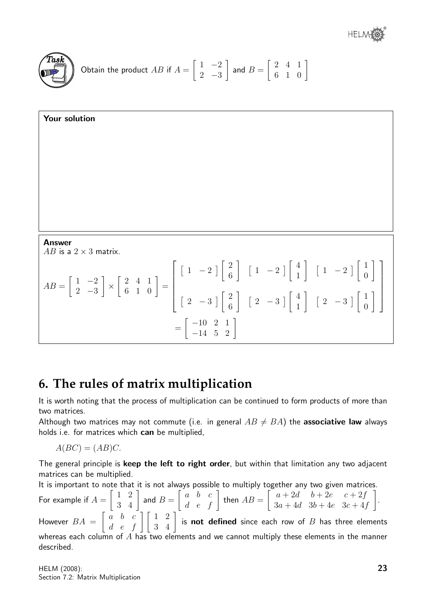

Obtain the product 
$$
AB
$$
 if  $A = \begin{bmatrix} 1 & -2 \\ 2 & -3 \end{bmatrix}$  and  $B = \begin{bmatrix} 2 & 4 & 1 \\ 6 & 1 & 0 \end{bmatrix}$ 

**Your solution**  
  
  
Answer  

$$
AB
$$
 is a 2 × 3 matrix.  
  

$$
AB = \begin{bmatrix} 1 & -2 \\ 2 & -3 \end{bmatrix} \times \begin{bmatrix} 2 & 4 & 1 \\ 6 & 1 & 0 \end{bmatrix} = \begin{bmatrix} 1 & -2 \end{bmatrix} \begin{bmatrix} 2 \\ 6 \end{bmatrix} \begin{bmatrix} 1 & -2 \end{bmatrix} \begin{bmatrix} 4 \\ 1 \end{bmatrix} \begin{bmatrix} 1 & -2 \end{bmatrix} \begin{bmatrix} 1 \\ 0 \end{bmatrix}
$$

$$
= \begin{bmatrix} -10 & 2 & 1 \\ -14 & 5 & 2 \end{bmatrix}
$$

## **6. The rules of matrix multiplication**

It is worth noting that the process of multiplication can be continued to form products of more than two matrices.

Although two matrices may not commute (i.e. in general  $AB \neq BA$ ) the **associative law** always holds i.e. for matrices which can be multiplied,

$$
A(BC) = (AB)C.
$$

The general principle is keep the left to right order, but within that limitation any two adjacent matrices can be multiplied.

It is important to note that it is not always possible to multiply together any two given matrices. For example if  $A =$  $\begin{bmatrix} 1 & 2 \\ 3 & 4 \end{bmatrix}$  and  $B =$  $\left[\begin{array}{ccc} a & b & c \\ d & e & f \end{array}\right]$  then  $AB =$  $\begin{bmatrix} a+2d & b+2e & c+2f \end{bmatrix}$  $3a + 4d$   $3b + 4e$   $3c + 4f$ 1 . However  $BA =$  $\begin{bmatrix} a & b & c \\ d & e & f \end{bmatrix}$   $\begin{bmatrix} 1 & 2 \\ 3 & 4 \end{bmatrix}$  is **not defined** since each row of  $B$  has three elements whereas each column of  $A$  has two elements and we cannot multiply these elements in the manner described.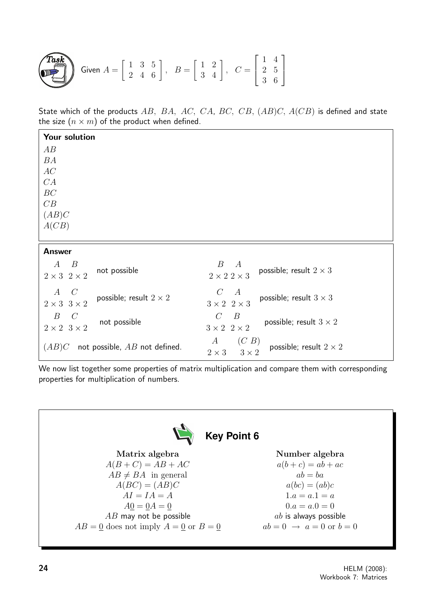**Task**  
Given 
$$
A = \begin{bmatrix} 1 & 3 & 5 \\ 2 & 4 & 6 \end{bmatrix}
$$
,  $B = \begin{bmatrix} 1 & 2 \\ 3 & 4 \end{bmatrix}$ ,  $C = \begin{bmatrix} 1 & 4 \\ 2 & 5 \\ 3 & 6 \end{bmatrix}$ 

State which of the products  $AB$ ,  $BA$ ,  $AC$ ,  $CA$ ,  $BC$ ,  $CB$ ,  $(AB)C$ ,  $A(CB)$  is defined and state the size  $(n \times m)$  of the product when defined.

| Your solution                                                                      |                                                                                                |
|------------------------------------------------------------------------------------|------------------------------------------------------------------------------------------------|
| AB                                                                                 |                                                                                                |
| BA                                                                                 |                                                                                                |
| AC                                                                                 |                                                                                                |
| CA                                                                                 |                                                                                                |
| $\cal BC$                                                                          |                                                                                                |
| CB                                                                                 |                                                                                                |
| (AB)C                                                                              |                                                                                                |
| A(CB)                                                                              |                                                                                                |
|                                                                                    |                                                                                                |
| <b>Answer</b>                                                                      |                                                                                                |
| $\boldsymbol{B}$<br>$\boldsymbol{A}$<br>not possible<br>$2 \times 3$ $2 \times 2$  | $\boldsymbol{B}$<br>$\boldsymbol{A}$<br>possible; result $2 \times 3$<br>$2\times2$ $2\times3$ |
| $A \quad C$<br>possible; result $2 \times 2$<br>$2 \times 3$ $3 \times 2$          | $\overline{A}$<br>$\mathcal{C}$<br>possible; result $3 \times 3$<br>$3\times2\ \ 2\times3$     |
| $\mathcal{C}$<br>$\boldsymbol{B}$<br>not possible<br>$2 \times 2 \quad 3 \times 2$ | $\mathcal{C}$<br>$\boldsymbol{B}$<br>possible; result $3 \times 2$<br>$3\times2\ \ 2\times2$   |
| (AB)C<br>not possible, $AB$ not defined.                                           | (C B)<br>$\boldsymbol{A}$<br>possible; result $2 \times 2$<br>$3\times2$<br>$2 \times 3$       |

We now list together some properties of matrix multiplication and compare them with corresponding properties for multiplication of numbers.

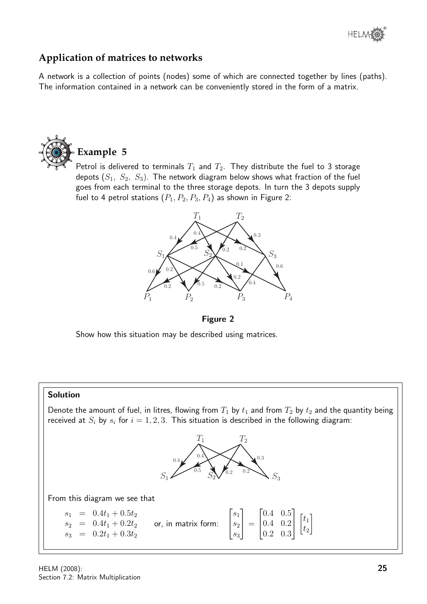

### **Application of matrices to networks**

A network is a collection of points (nodes) some of which are connected together by lines (paths). The information contained in a network can be conveniently stored in the form of a matrix.



**Example 5**

Petrol is delivered to terminals  $T_1$  and  $T_2$ . They distribute the fuel to 3 storage depots  $(S_1, S_2, S_3)$ . The network diagram below shows what fraction of the fuel goes from each terminal to the three storage depots. In turn the 3 depots supply fuel to 4 petrol stations  $(P_1, P_2, P_3, P_4)$  as shown in Figure 2:



Figure 2

Show how this situation may be described using matrices.

#### Solution

Denote the amount of fuel, in litres, flowing from  $T_1$  by  $t_1$  and from  $T_2$  by  $t_2$  and the quantity being received at  $S_i$  by  $s_i$  for  $i = 1, 2, 3$ . This situation is described in the following diagram:



From this diagram we see that

| $s_1 = 0.4t_1 + 0.5t_2$<br>$s_2 = 0.4t_1 + 0.2t_2$ or, in matrix form: $\begin{bmatrix} s_1 \\ s_2 \\ s_3 \end{bmatrix} = \begin{bmatrix} 0.4 & 0.5 \\ 0.4 & 0.2 \\ 0.2 & 0.3 \end{bmatrix} \begin{bmatrix} t_1 \\ t_2 \end{bmatrix}$ |
|---------------------------------------------------------------------------------------------------------------------------------------------------------------------------------------------------------------------------------------|
|---------------------------------------------------------------------------------------------------------------------------------------------------------------------------------------------------------------------------------------|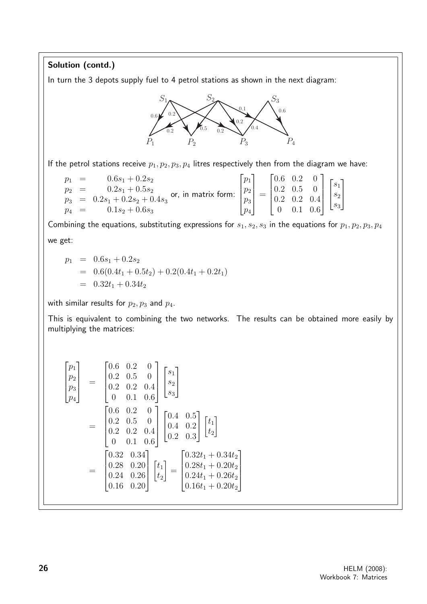#### Solution (contd.) In turn the 3 depots supply fuel to 4 petrol stations as shown in the next diagram:  $S_1 \sim S_2 \sim S_3$  $P_1$   $P_2$   $P_3$   $P_4$ 0.4  $0.6$ 0.6 0.2 0.2  $_{0.5}$ 0.2 0.2 If the petrol stations receive  $p_1, p_2, p_3, p_4$  litres respectively then from the diagram we have:

 $p_1 = 0.6s_1 + 0.2s_2$  $p_2 = 0.2s_1 + 0.5s_2$  $p_2 = 0.2s_1 + 0.3s_2$  or, in matrix form:<br> $p_3 = 0.2s_1 + 0.2s_2 + 0.4s_3$  $p_4 = 0.1s_2 + 0.6s_3$  $\sqrt{ }$   $\stackrel{\cdot }{p}_1$  $p<sub>2</sub>$  $\overline{p}_3$  $\overline{p}_4$ 1  $\Bigg\}$ =  $\sqrt{ }$  $\Bigg\}$ 0.6 0.2 0 0.2 0.5 0 0.2 0.2 0.4 0 0.1 0.6 1  $\parallel$  $\sqrt{ }$  $\overline{\phantom{a}}$  $\overline{s}_1$  $s_2$  $\overline{s}_3$ 1  $\overline{1}$ 

Combining the equations, substituting expressions for  $s_1, s_2, s_3$  in the equations for  $p_1, p_2, p_3, p_4$ we get:

$$
p_1 = 0.6s_1 + 0.2s_2
$$
  
= 0.6(0.4t<sub>1</sub> + 0.5t<sub>2</sub>) + 0.2(0.4t<sub>1</sub> + 0.2t<sub>1</sub>)  
= 0.32t<sub>1</sub> + 0.34t<sub>2</sub>

with similar results for  $p_2, p_3$  and  $p_4$ .

This is equivalent to combining the two networks. The results can be obtained more easily by multiplying the matrices:

$$
\begin{bmatrix} p_1 \\ p_2 \\ p_3 \\ p_4 \end{bmatrix} = \begin{bmatrix} 0.6 & 0.2 & 0 \\ 0.2 & 0.5 & 0 \\ 0.2 & 0.2 & 0.4 \\ 0 & 0.1 & 0.6 \end{bmatrix} \begin{bmatrix} s_1 \\ s_2 \\ s_3 \end{bmatrix}
$$

$$
= \begin{bmatrix} 0.6 & 0.2 & 0 \\ 0.2 & 0.5 & 0 \\ 0.2 & 0.2 & 0.4 \\ 0 & 0.1 & 0.6 \end{bmatrix} \begin{bmatrix} 0.4 & 0.5 \\ 0.4 & 0.2 \\ 0.2 & 0.3 \end{bmatrix} \begin{bmatrix} t_1 \\ t_2 \end{bmatrix}
$$

$$
= \begin{bmatrix} 0.32 & 0.34 \\ 0.28 & 0.20 \\ 0.24 & 0.26 \\ 0.16 & 0.20 \end{bmatrix} \begin{bmatrix} t_1 \\ t_2 \end{bmatrix} = \begin{bmatrix} 0.32t_1 + 0.34t_2 \\ 0.28t_1 + 0.20t_2 \\ 0.24t_1 + 0.20t_2 \\ 0.16t_1 + 0.20t_2 \end{bmatrix}
$$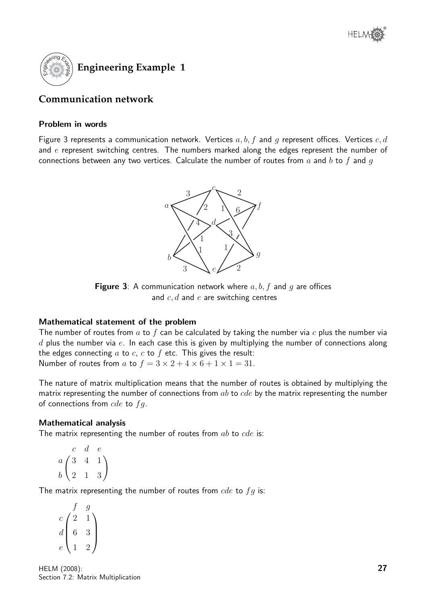

### **Communication network**

#### Problem in words

Figure 3 represents a communication network. Vertices  $a, b, f$  and g represent offices. Vertices  $c, d$ and  $e$  represent switching centres. The numbers marked along the edges represent the number of connections between any two vertices. Calculate the number of routes from  $a$  and  $b$  to  $f$  and  $g$ 



**Figure 3:** A communication network where  $a, b, f$  and  $q$  are offices and  $c, d$  and  $e$  are switching centres

### Mathematical statement of the problem

The number of routes from  $a$  to  $f$  can be calculated by taking the number via  $c$  plus the number via  $d$  plus the number via  $e$ . In each case this is given by multiplying the number of connections along the edges connecting  $a$  to  $c$ ,  $c$  to  $f$  etc. This gives the result: Number of routes from a to  $f = 3 \times 2 + 4 \times 6 + 1 \times 1 = 31$ .

The nature of matrix multiplication means that the number of routes is obtained by multiplying the matrix representing the number of connections from  $ab$  to  $cde$  by the matrix representing the number of connections from  $cde$  to  $fq$ .

### Mathematical analysis

The matrix representing the number of routes from  $ab$  to  $cde$  is:

$$
\begin{array}{ccc} & c & d & e \\ a & 3 & 4 & 1 \\ b & 2 & 1 & 3 \end{array}
$$

The matrix representing the number of routes from  $cde$  to  $fg$  is:

 $\sqrt{ }$  $\overline{\phantom{a}}$ f g  $c/2$  1  $d \mid 6$  3  $e(1)$  2  $\setminus$  $\Bigg\}$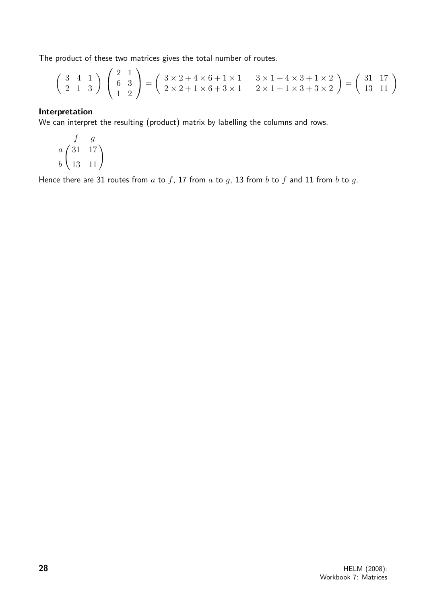The product of these two matrices gives the total number of routes.

$$
\begin{pmatrix} 3 & 4 & 1 \\ 2 & 1 & 3 \end{pmatrix} \begin{pmatrix} 2 & 1 \\ 6 & 3 \\ 1 & 2 \end{pmatrix} = \begin{pmatrix} 3 \times 2 + 4 \times 6 + 1 \times 1 & 3 \times 1 + 4 \times 3 + 1 \times 2 \\ 2 \times 2 + 1 \times 6 + 3 \times 1 & 2 \times 1 + 1 \times 3 + 3 \times 2 \end{pmatrix} = \begin{pmatrix} 31 & 17 \\ 13 & 11 \end{pmatrix}
$$

#### Interpretation

We can interpret the resulting (product) matrix by labelling the columns and rows.

$$
\begin{pmatrix}\nf & g \\
31 & 17 \\
b & 13 & 11\n\end{pmatrix}
$$

Hence there are 31 routes from  $a$  to  $f$ , 17 from  $a$  to  $g$ , 13 from  $b$  to  $f$  and 11 from  $b$  to  $g$ .